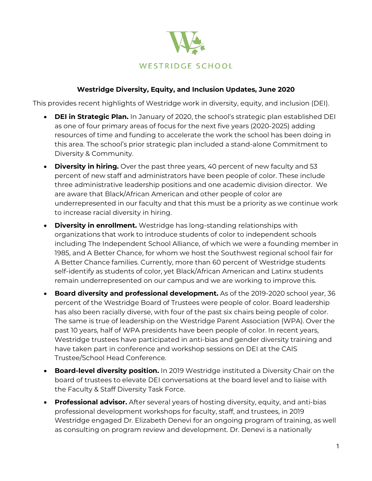

## **Westridge Diversity, Equity, and Inclusion Updates, June 2020**

This provides recent highlights of Westridge work in diversity, equity, and inclusion (DEI).

- **DEI in Strategic Plan.** In January of 2020, the school's strategic plan established DEI as one of four primary areas of focus for the next five years (2020-2025) adding resources of time and funding to accelerate the work the school has been doing in this area. The school's prior strategic plan included a stand-alone Commitment to Diversity & Community.
- **Diversity in hiring.** Over the past three years, 40 percent of new faculty and 53 percent of new staff and administrators have been people of color. These include three administrative leadership positions and one academic division director. We are aware that Black/African American and other people of color are underrepresented in our faculty and that this must be a priority as we continue work to increase racial diversity in hiring.
- **Diversity in enrollment.** Westridge has long-standing relationships with organizations that work to introduce students of color to independent schools including The Independent School Alliance, of which we were a founding member in 1985, and A Better Chance, for whom we host the Southwest regional school fair for A Better Chance families. Currently, more than 60 percent of Westridge students self-identify as students of color, yet Black/African American and Latinx students remain underrepresented on our campus and we are working to improve this.
- **Board diversity and professional development.** As of the 2019-2020 school year, 36 percent of the Westridge Board of Trustees were people of color. Board leadership has also been racially diverse, with four of the past six chairs being people of color. The same is true of leadership on the Westridge Parent Association (WPA). Over the past 10 years, half of WPA presidents have been people of color. In recent years, Westridge trustees have participated in anti-bias and gender diversity training and have taken part in conference and workshop sessions on DEI at the CAIS Trustee/School Head Conference.
- **Board-level diversity position.** In 2019 Westridge instituted a Diversity Chair on the board of trustees to elevate DEI conversations at the board level and to liaise with the Faculty & Staff Diversity Task Force.
- **Professional advisor.** After several years of hosting diversity, equity, and anti-bias professional development workshops for faculty, staff, and trustees, in 2019 Westridge engaged Dr. Elizabeth Denevi for an ongoing program of training, as well as consulting on program review and development. Dr. Denevi is a nationally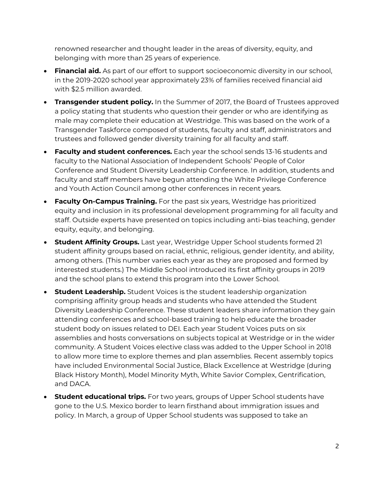renowned researcher and thought leader in the areas of diversity, equity, and belonging with more than 25 years of experience.

- **Financial aid.** As part of our effort to support socioeconomic diversity in our school, in the 2019-2020 school year approximately 23% of families received financial aid with \$2.5 million awarded.
- **Transgender student policy.** In the Summer of 2017, the Board of Trustees approved a policy stating that students who question their gender or who are identifying as male may complete their education at Westridge. This was based on the work of a Transgender Taskforce composed of students, faculty and staff, administrators and trustees and followed gender diversity training for all faculty and staff.
- **Faculty and student conferences.** Each year the school sends 13-16 students and faculty to the National Association of Independent Schools' People of Color Conference and Student Diversity Leadership Conference. In addition, students and faculty and staff members have begun attending the White Privilege Conference and Youth Action Council among other conferences in recent years.
- **Faculty On-Campus Training.** For the past six years, Westridge has prioritized equity and inclusion in its professional development programming for all faculty and staff. Outside experts have presented on topics including anti-bias teaching, gender equity, equity, and belonging.
- **Student Affinity Groups.** Last year, Westridge Upper School students formed 21 student affinity groups based on racial, ethnic, religious, gender identity, and ability, among others. (This number varies each year as they are proposed and formed by interested students.) The Middle School introduced its first affinity groups in 2019 and the school plans to extend this program into the Lower School.
- **Student Leadership.** Student Voices is the student leadership organization comprising affinity group heads and students who have attended the Student Diversity Leadership Conference. These student leaders share information they gain attending conferences and school-based training to help educate the broader student body on issues related to DEI. Each year Student Voices puts on six assemblies and hosts conversations on subjects topical at Westridge or in the wider community. A Student Voices elective class was added to the Upper School in 2018 to allow more time to explore themes and plan assemblies. Recent assembly topics have included Environmental Social Justice, Black Excellence at Westridge (during Black History Month), Model Minority Myth, White Savior Complex, Gentrification, and DACA.
- **Student educational trips.** For two years, groups of Upper School students have gone to the U.S. Mexico border to learn firsthand about immigration issues and policy. In March, a group of Upper School students was supposed to take an